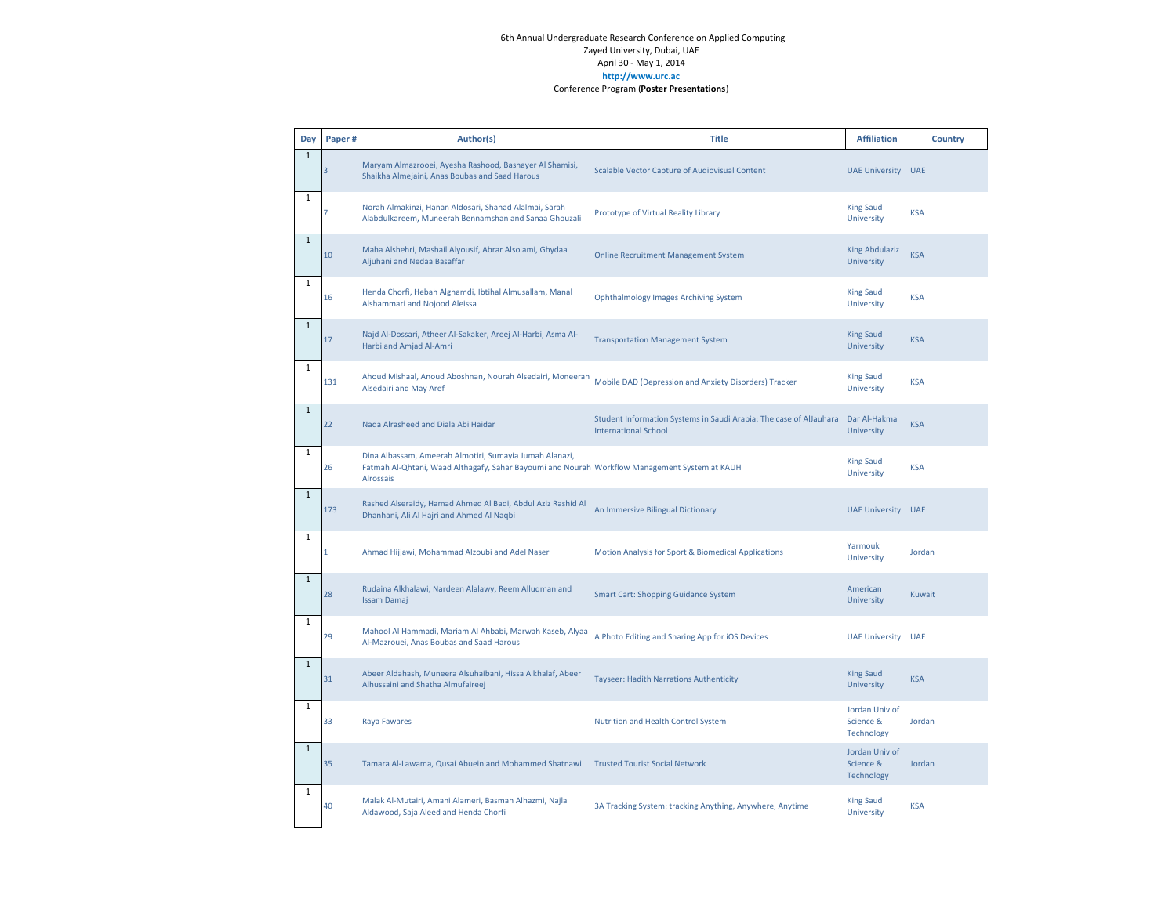| Day          | Paper# | Author(s)                                                                                                                                                                    | <b>Title</b>                                                                                      | <b>Affiliation</b>                        | Country    |
|--------------|--------|------------------------------------------------------------------------------------------------------------------------------------------------------------------------------|---------------------------------------------------------------------------------------------------|-------------------------------------------|------------|
| $\mathbf{1}$ |        | Maryam Almazrooei, Ayesha Rashood, Bashayer Al Shamisi,<br>Shaikha Almejaini, Anas Boubas and Saad Harous                                                                    | Scalable Vector Capture of Audiovisual Content                                                    | <b>UAE University</b>                     | <b>UAE</b> |
| $1\,$        |        | Norah Almakinzi, Hanan Aldosari, Shahad Alalmai, Sarah<br>Alabdulkareem, Muneerah Bennamshan and Sanaa Ghouzali                                                              | Prototype of Virtual Reality Library                                                              | <b>King Saud</b><br>University            | <b>KSA</b> |
| $\mathbf{1}$ | 10     | Maha Alshehri, Mashail Alyousif, Abrar Alsolami, Ghydaa<br>Aljuhani and Nedaa Basaffar                                                                                       | <b>Online Recruitment Management System</b>                                                       | <b>King Abdulaziz</b><br>University       | <b>KSA</b> |
| $\mathbf 1$  | 16     | Henda Chorfi, Hebah Alghamdi, Ibtihal Almusallam, Manal<br>Alshammari and Nojood Aleissa                                                                                     | <b>Ophthalmology Images Archiving System</b>                                                      | <b>King Saud</b><br>University            | <b>KSA</b> |
| $\mathbf{1}$ | 17     | Najd Al-Dossari, Atheer Al-Sakaker, Areej Al-Harbi, Asma Al-<br>Harbi and Amjad Al-Amri                                                                                      | <b>Transportation Management System</b>                                                           | <b>King Saud</b><br>University            | <b>KSA</b> |
| $\mathbf{1}$ | 131    | Ahoud Mishaal, Anoud Aboshnan, Nourah Alsedairi, Moneerah<br>Alsedairi and May Aref                                                                                          | Mobile DAD (Depression and Anxiety Disorders) Tracker                                             | <b>King Saud</b><br>University            | <b>KSA</b> |
| $\mathbf{1}$ | 22     | Nada Alrasheed and Diala Abi Haidar                                                                                                                                          | Student Information Systems in Saudi Arabia: The case of AlJauhara<br><b>International School</b> | Dar Al-Hakma<br>University                | <b>KSA</b> |
| $\mathbf 1$  | 26     | Dina Albassam, Ameerah Almotiri, Sumayia Jumah Alanazi,<br>Fatmah Al-Qhtani, Waad Althagafy, Sahar Bayoumi and Nourah Workflow Management System at KAUH<br><b>Alrossais</b> |                                                                                                   | <b>King Saud</b><br>University            | <b>KSA</b> |
| $\mathbf{1}$ | 173    | Rashed Alseraidy, Hamad Ahmed Al Badi, Abdul Aziz Rashid Al<br>Dhanhani, Ali Al Hajri and Ahmed Al Naqbi                                                                     | An Immersive Bilingual Dictionary                                                                 | <b>UAE University</b>                     | <b>UAE</b> |
| $\mathbf 1$  | 1      | Ahmad Hijjawi, Mohammad Alzoubi and Adel Naser                                                                                                                               | Motion Analysis for Sport & Biomedical Applications                                               | Yarmouk<br>University                     | Jordan     |
| $\mathbf{1}$ | 28     | Rudaina Alkhalawi, Nardeen Alalawy, Reem Alluqman and<br><b>Issam Damaj</b>                                                                                                  | <b>Smart Cart: Shopping Guidance System</b>                                                       | American<br>University                    | Kuwait     |
| $\mathbf{1}$ | 29     | Mahool Al Hammadi, Mariam Al Ahbabi, Marwah Kaseb, Alyaa<br>Al-Mazrouei, Anas Boubas and Saad Harous                                                                         | A Photo Editing and Sharing App for iOS Devices                                                   | <b>UAE University</b>                     | <b>UAE</b> |
| $\mathbf{1}$ | 31     | Abeer Aldahash, Muneera Alsuhaibani, Hissa Alkhalaf, Abeer<br>Alhussaini and Shatha Almufaireej                                                                              | Tayseer: Hadith Narrations Authenticity                                                           | <b>King Saud</b><br>University            | <b>KSA</b> |
| $\mathbf{1}$ | 33     | Raya Fawares                                                                                                                                                                 | Nutrition and Health Control System                                                               | Jordan Univ of<br>Science &<br>Technology | Jordan     |
| $\mathbf{1}$ | 35     | Tamara Al-Lawama, Qusai Abuein and Mohammed Shatnawi                                                                                                                         | <b>Trusted Tourist Social Network</b>                                                             | Jordan Univ of<br>Science &<br>Technology | Jordan     |
| $\mathbf{1}$ | 40     | Malak Al-Mutairi, Amani Alameri, Basmah Alhazmi, Najla<br>Aldawood, Saja Aleed and Henda Chorfi                                                                              | 3A Tracking System: tracking Anything, Anywhere, Anytime                                          | <b>King Saud</b><br>University            | <b>KSA</b> |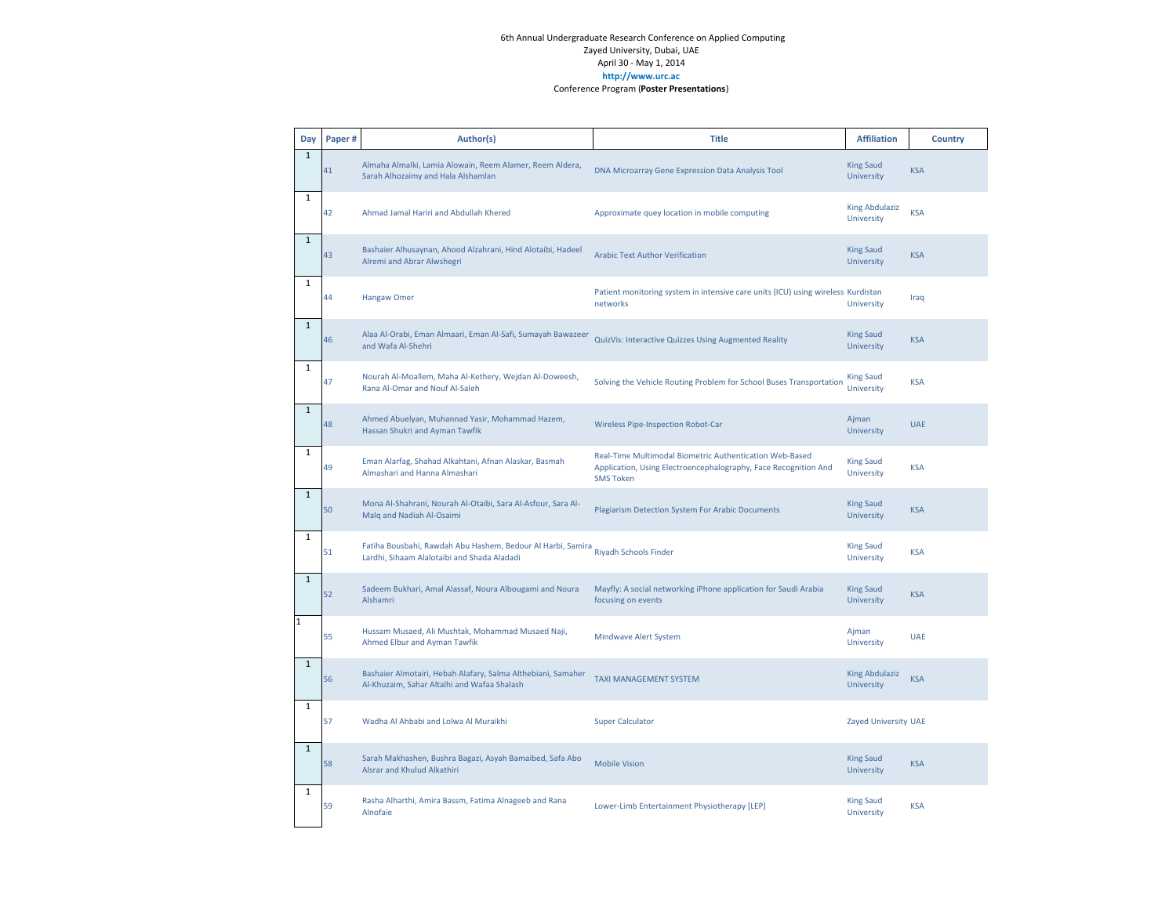| Day          | Paper# | Author(s)                                                                                                   | <b>Title</b>                                                                                                                                   | <b>Affiliation</b>                  | <b>Country</b> |
|--------------|--------|-------------------------------------------------------------------------------------------------------------|------------------------------------------------------------------------------------------------------------------------------------------------|-------------------------------------|----------------|
| $\mathbf{1}$ | 41     | Almaha Almalki, Lamia Alowain, Reem Alamer, Reem Aldera,<br>Sarah Alhozaimy and Hala Alshamlan              | DNA Microarray Gene Expression Data Analysis Tool                                                                                              | <b>King Saud</b><br>University      | <b>KSA</b>     |
| $\mathbf{1}$ | 42     | Ahmad Jamal Hariri and Abdullah Khered                                                                      | Approximate quey location in mobile computing                                                                                                  | <b>King Abdulaziz</b><br>University | <b>KSA</b>     |
| $\mathbf 1$  | 43     | Bashaier Alhusaynan, Ahood Alzahrani, Hind Alotaibi, Hadeel<br>Alremi and Abrar Alwshegri                   | <b>Arabic Text Author Verification</b>                                                                                                         | <b>King Saud</b><br>University      | <b>KSA</b>     |
| $1\,$        | 44     | <b>Hangaw Omer</b>                                                                                          | Patient monitoring system in intensive care units (ICU) using wireless Kurdistan<br>networks                                                   | University                          | Iraq           |
| $\mathbf{1}$ | 46     | Alaa Al-Orabi, Eman Almaari, Eman Al-Safi, Sumayah Bawazeer<br>and Wafa Al-Shehri                           | QuizVis: Interactive Quizzes Using Augmented Reality                                                                                           | <b>King Saud</b><br>University      | <b>KSA</b>     |
| $\mathbf{1}$ | 47     | Nourah Al-Moallem, Maha Al-Kethery, Wejdan Al-Doweesh,<br>Rana Al-Omar and Nouf Al-Saleh                    | Solving the Vehicle Routing Problem for School Buses Transportation                                                                            | <b>King Saud</b><br>University      | <b>KSA</b>     |
| $\mathbf{1}$ | 48     | Ahmed Abuelyan, Muhannad Yasir, Mohammad Hazem,<br>Hassan Shukri and Ayman Tawfik                           | <b>Wireless Pipe-Inspection Robot-Car</b>                                                                                                      | Ajman<br>University                 | <b>UAE</b>     |
| $\mathbf 1$  | 49     | Eman Alarfag, Shahad Alkahtani, Afnan Alaskar, Basmah<br>Almashari and Hanna Almashari                      | Real-Time Multimodal Biometric Authentication Web-Based<br>Application, Using Electroencephalography, Face Recognition And<br><b>SMS Token</b> | <b>King Saud</b><br>University      | <b>KSA</b>     |
| $\mathbf{1}$ | 50     | Mona Al-Shahrani, Nourah Al-Otaibi, Sara Al-Asfour, Sara Al-<br>Malq and Nadiah Al-Osaimi                   | Plagiarism Detection System For Arabic Documents                                                                                               | <b>King Saud</b><br>University      | <b>KSA</b>     |
| $1\,$        | 51     | Fatiha Bousbahi, Rawdah Abu Hashem, Bedour Al Harbi, Samira<br>Lardhi, Sihaam Alalotaibi and Shada Aladadi  | <b>Riyadh Schools Finder</b>                                                                                                                   | <b>King Saud</b><br>University      | <b>KSA</b>     |
| $\mathbf 1$  | 52     | Sadeem Bukhari, Amal Alassaf, Noura Albougami and Noura<br>Alshamri                                         | Mayfly: A social networking iPhone application for Saudi Arabia<br>focusing on events                                                          | <b>King Saud</b><br>University      | <b>KSA</b>     |
| $\mathbf{1}$ | 55     | Hussam Musaed, Ali Mushtak, Mohammad Musaed Naji,<br>Ahmed Elbur and Ayman Tawfik                           | <b>Mindwave Alert System</b>                                                                                                                   | Ajman<br>University                 | <b>UAE</b>     |
| $\mathbf{1}$ | 56     | Bashaier Almotairi, Hebah Alafary, Salma Althebiani, Samaher<br>Al-Khuzaim, Sahar Altalhi and Wafaa Shalash | <b>TAXI MANAGEMENT SYSTEM</b>                                                                                                                  | <b>King Abdulaziz</b><br>University | <b>KSA</b>     |
| $\mathbf 1$  | 57     | Wadha Al Ahbabi and Lolwa Al Muraikhi                                                                       | <b>Super Calculator</b>                                                                                                                        | Zayed University UAE                |                |
| $\mathbf 1$  | 58     | Sarah Makhashen, Bushra Bagazi, Asyah Bamaibed, Safa Abo<br>Alsrar and Khulud Alkathiri                     | <b>Mobile Vision</b>                                                                                                                           | <b>King Saud</b><br>University      | <b>KSA</b>     |
| $\mathbf{1}$ | 59     | Rasha Alharthi, Amira Bassm, Fatima Alnageeb and Rana<br>Alnofaie                                           | Lower-Limb Entertainment Physiotherapy [LEP]                                                                                                   | <b>King Saud</b><br>University      | <b>KSA</b>     |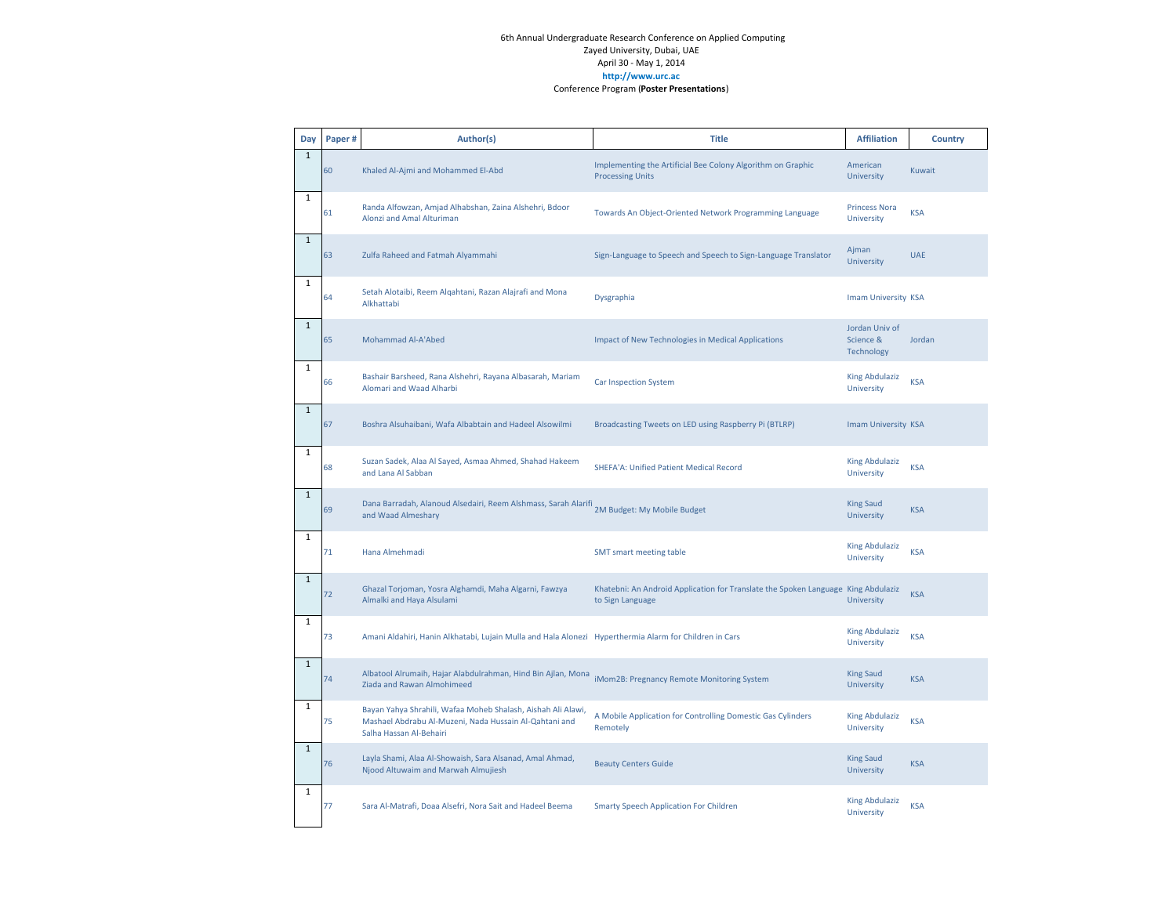| Day          | Paper# | Author(s)                                                                                                                                         | <b>Title</b>                                                                                          | <b>Affiliation</b>                        | <b>Country</b> |
|--------------|--------|---------------------------------------------------------------------------------------------------------------------------------------------------|-------------------------------------------------------------------------------------------------------|-------------------------------------------|----------------|
| $\,1\,$      | 60     | Khaled Al-Ajmi and Mohammed El-Abd                                                                                                                | Implementing the Artificial Bee Colony Algorithm on Graphic<br><b>Processing Units</b>                | American<br>University                    | Kuwait         |
| $\mathbf{1}$ | 61     | Randa Alfowzan, Amjad Alhabshan, Zaina Alshehri, Bdoor<br>Alonzi and Amal Alturiman                                                               | Towards An Object-Oriented Network Programming Language                                               | <b>Princess Nora</b><br>University        | <b>KSA</b>     |
| $\mathbf{1}$ | 63     | Zulfa Raheed and Fatmah Alyammahi                                                                                                                 | Sign-Language to Speech and Speech to Sign-Language Translator                                        | Ajman<br>University                       | <b>UAE</b>     |
| $\mathbf 1$  | 64     | Setah Alotaibi, Reem Algahtani, Razan Alajrafi and Mona<br>Alkhattabi                                                                             | Dysgraphia                                                                                            | Imam University KSA                       |                |
| $\mathbf{1}$ | 65     | Mohammad Al-A'Abed                                                                                                                                | <b>Impact of New Technologies in Medical Applications</b>                                             | Jordan Univ of<br>Science &<br>Technology | Jordan         |
| $\mathbf 1$  | 66     | Bashair Barsheed, Rana Alshehri, Rayana Albasarah, Mariam<br>Alomari and Waad Alharbi                                                             | <b>Car Inspection System</b>                                                                          | <b>King Abdulaziz</b><br>University       | <b>KSA</b>     |
| $\mathbf 1$  | 67     | Boshra Alsuhaibani, Wafa Albabtain and Hadeel Alsowilmi                                                                                           | Broadcasting Tweets on LED using Raspberry Pi (BTLRP)                                                 | Imam University KSA                       |                |
| $1\,$        | 68     | Suzan Sadek, Alaa Al Sayed, Asmaa Ahmed, Shahad Hakeem<br>and Lana Al Sabban                                                                      | SHEFA'A: Unified Patient Medical Record                                                               | <b>King Abdulaziz</b><br>University       | <b>KSA</b>     |
| $\mathbf 1$  | 69     | Dana Barradah, Alanoud Alsedairi, Reem Alshmass, Sarah Alarifi 2M Budget: My Mobile Budget<br>and Waad Almeshary                                  |                                                                                                       | <b>King Saud</b><br>University            | <b>KSA</b>     |
| $1\,$        | 71     | Hana Almehmadi                                                                                                                                    | <b>SMT</b> smart meeting table                                                                        | <b>King Abdulaziz</b><br>University       | <b>KSA</b>     |
| $\mathbf 1$  | 72     | Ghazal Torjoman, Yosra Alghamdi, Maha Algarni, Fawzya<br>Almalki and Haya Alsulami                                                                | Khatebni: An Android Application for Translate the Spoken Language King Abdulaziz<br>to Sign Language | University                                | <b>KSA</b>     |
| $\mathbf 1$  | 73     | Amani Aldahiri, Hanin Alkhatabi, Lujain Mulla and Hala Alonezi Hyperthermia Alarm for Children in Cars                                            |                                                                                                       | <b>King Abdulaziz</b><br>University       | <b>KSA</b>     |
| $\mathbf{1}$ | 74     | Albatool Alrumaih, Hajar Alabdulrahman, Hind Bin Ajlan, Mona<br>Ziada and Rawan Almohimeed                                                        | iMom2B: Pregnancy Remote Monitoring System                                                            | <b>King Saud</b><br>University            | <b>KSA</b>     |
| $\mathbf{1}$ | 75     | Bayan Yahya Shrahili, Wafaa Moheb Shalash, Aishah Ali Alawi,<br>Mashael Abdrabu Al-Muzeni, Nada Hussain Al-Qahtani and<br>Salha Hassan Al-Behairi | A Mobile Application for Controlling Domestic Gas Cylinders<br>Remotely                               | <b>King Abdulaziz</b><br>University       | <b>KSA</b>     |
| $\mathbf{1}$ | 76     | Layla Shami, Alaa Al-Showaish, Sara Alsanad, Amal Ahmad,<br>Njood Altuwaim and Marwah Almujiesh                                                   | <b>Beauty Centers Guide</b>                                                                           | <b>King Saud</b><br>University            | <b>KSA</b>     |
| $1\,$        | 77     | Sara Al-Matrafi, Doaa Alsefri, Nora Sait and Hadeel Beema                                                                                         | <b>Smarty Speech Application For Children</b>                                                         | <b>King Abdulaziz</b><br>University       | <b>KSA</b>     |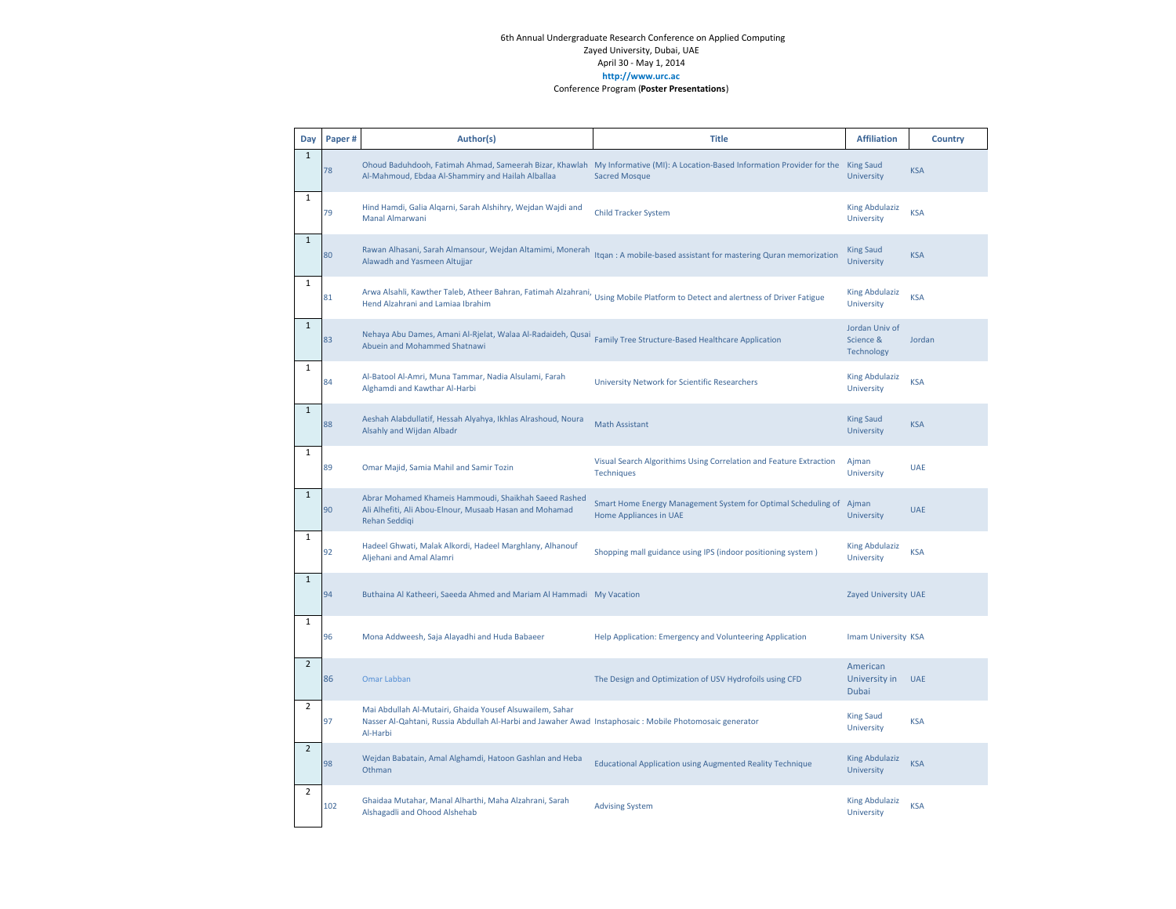| Day            | Paper# | Author(s)                                                                                                                                                                        | <b>Title</b>                                                                                                                                                 | <b>Affiliation</b>                        | <b>Country</b> |
|----------------|--------|----------------------------------------------------------------------------------------------------------------------------------------------------------------------------------|--------------------------------------------------------------------------------------------------------------------------------------------------------------|-------------------------------------------|----------------|
| $\mathbf{1}$   | 78     | Al-Mahmoud, Ebdaa Al-Shammiry and Hailah Alballaa                                                                                                                                | Ohoud Baduhdooh, Fatimah Ahmad, Sameerah Bizar, Khawlah My Informative (MI): A Location-Based Information Provider for the King Saud<br><b>Sacred Mosque</b> | <b>University</b>                         | <b>KSA</b>     |
| $\mathbf 1$    | 79     | Hind Hamdi, Galia Algarni, Sarah Alshihry, Wejdan Wajdi and<br>Manal Almarwani                                                                                                   | <b>Child Tracker System</b>                                                                                                                                  | <b>King Abdulaziz</b><br>University       | <b>KSA</b>     |
| $\mathbf{1}$   | 80     | Rawan Alhasani, Sarah Almansour, Wejdan Altamimi, Monerah<br>Alawadh and Yasmeen Altujjar                                                                                        | Itgan: A mobile-based assistant for mastering Quran memorization                                                                                             | <b>King Saud</b><br><b>University</b>     | <b>KSA</b>     |
| $\mathbf{1}$   | 81     | Hend Alzahrani and Lamiaa Ibrahim                                                                                                                                                | Arwa Alsahli, Kawther Taleb, Atheer Bahran, Fatimah Alzahrani, Using Mobile Platform to Detect and alertness of Driver Fatigue                               | <b>King Abdulaziz</b><br>University       | <b>KSA</b>     |
| $\mathbf 1$    | 83     | Nehaya Abu Dames, Amani Al-Rjelat, Walaa Al-Radaideh, Qusai<br>Abuein and Mohammed Shatnawi                                                                                      | Family Tree Structure-Based Healthcare Application                                                                                                           | Jordan Univ of<br>Science &<br>Technology | Jordan         |
| $\mathbf{1}$   | 84     | Al-Batool Al-Amri, Muna Tammar, Nadia Alsulami, Farah<br>Alghamdi and Kawthar Al-Harbi                                                                                           | University Network for Scientific Researchers                                                                                                                | <b>King Abdulaziz</b><br>University       | <b>KSA</b>     |
| $\mathbf{1}$   | 88     | Aeshah Alabdullatif, Hessah Alyahya, Ikhlas Alrashoud, Noura<br>Alsahly and Wijdan Albadr                                                                                        | <b>Math Assistant</b>                                                                                                                                        | <b>King Saud</b><br>University            | <b>KSA</b>     |
| $\mathbf{1}$   | 89     | Omar Majid, Samia Mahil and Samir Tozin                                                                                                                                          | Visual Search Algorithims Using Correlation and Feature Extraction<br><b>Techniques</b>                                                                      | Ajman<br>University                       | <b>UAE</b>     |
| $\mathbf{1}$   | 90     | Abrar Mohamed Khameis Hammoudi, Shaikhah Saeed Rashed<br>Ali Alhefiti, Ali Abou-Elnour, Musaab Hasan and Mohamad<br>Rehan Seddiqi                                                | Smart Home Energy Management System for Optimal Scheduling of<br>Home Appliances in UAE                                                                      | Ajman<br>University                       | <b>UAE</b>     |
| $\mathbf 1$    | 92     | Hadeel Ghwati, Malak Alkordi, Hadeel Marghlany, Alhanouf<br>Aljehani and Amal Alamri                                                                                             | Shopping mall guidance using IPS (indoor positioning system)                                                                                                 | <b>King Abdulaziz</b><br>University       | <b>KSA</b>     |
| $\mathbf{1}$   | 94     | Buthaina Al Katheeri, Saeeda Ahmed and Mariam Al Hammadi My Vacation                                                                                                             |                                                                                                                                                              | Zayed University UAE                      |                |
| $\mathbf{1}$   | 96     | Mona Addweesh, Saja Alayadhi and Huda Babaeer                                                                                                                                    | Help Application: Emergency and Volunteering Application                                                                                                     | Imam University KSA                       |                |
| $\overline{2}$ | 86     | <b>Omar Labban</b>                                                                                                                                                               | The Design and Optimization of USV Hydrofoils using CFD                                                                                                      | American<br>University in<br>Dubai        | <b>UAE</b>     |
| $\overline{2}$ | 97     | Mai Abdullah Al-Mutairi, Ghaida Yousef Alsuwailem, Sahar<br>Nasser Al-Qahtani, Russia Abdullah Al-Harbi and Jawaher Awad Instaphosaic : Mobile Photomosaic generator<br>Al-Harbi |                                                                                                                                                              | <b>King Saud</b><br>University            | <b>KSA</b>     |
| $\overline{2}$ | 98     | Wejdan Babatain, Amal Alghamdi, Hatoon Gashlan and Heba<br>Othman                                                                                                                | <b>Educational Application using Augmented Reality Technique</b>                                                                                             | <b>King Abdulaziz</b><br>University       | <b>KSA</b>     |
| $\overline{2}$ | 102    | Ghaidaa Mutahar, Manal Alharthi, Maha Alzahrani, Sarah<br>Alshagadli and Ohood Alshehab                                                                                          | <b>Advising System</b>                                                                                                                                       | <b>King Abdulaziz</b><br>University       | <b>KSA</b>     |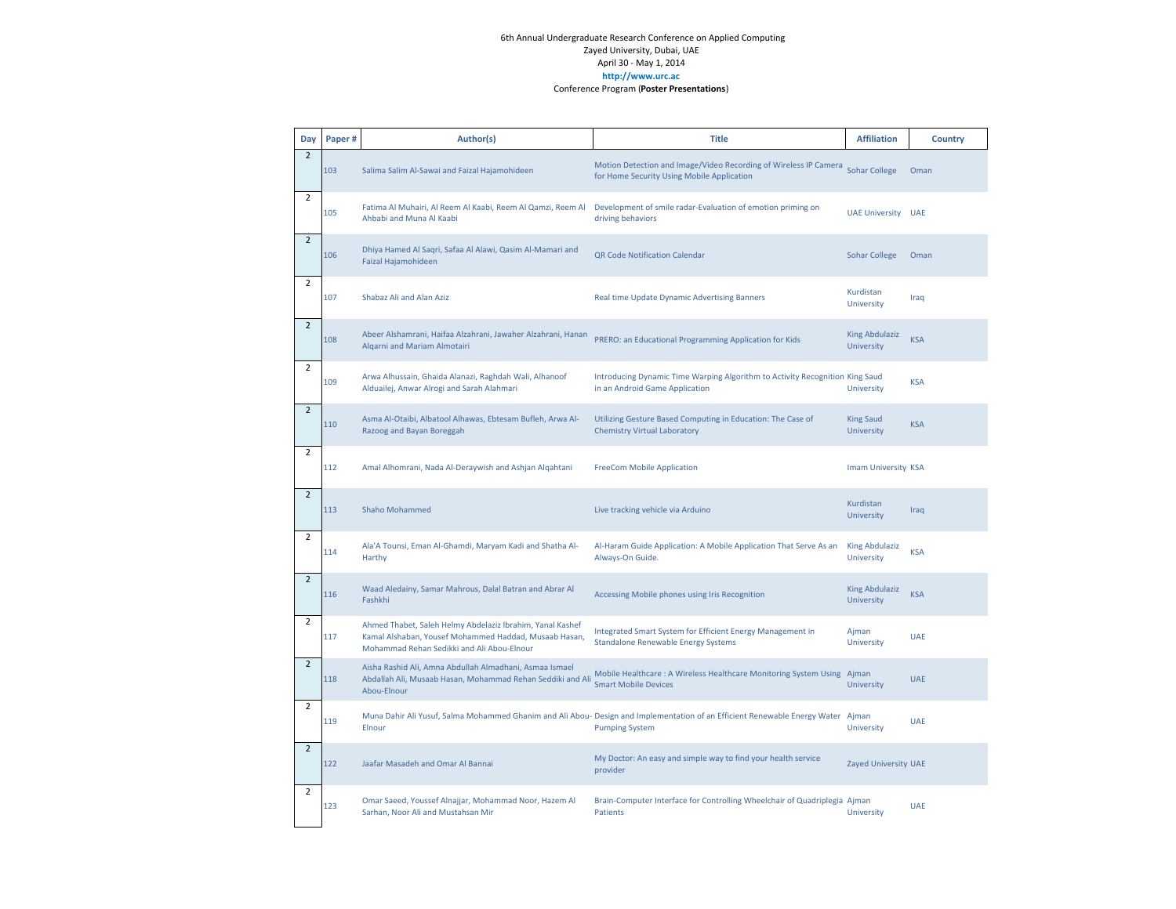| Day            | Paper# | Author(s)                                                                                                                                                        | <b>Title</b>                                                                                                                                              | <b>Affiliation</b>                         | Country    |
|----------------|--------|------------------------------------------------------------------------------------------------------------------------------------------------------------------|-----------------------------------------------------------------------------------------------------------------------------------------------------------|--------------------------------------------|------------|
| $\overline{2}$ | 103    | Salima Salim Al-Sawai and Faizal Hajamohideen                                                                                                                    | Motion Detection and Image/Video Recording of Wireless IP Camera<br>for Home Security Using Mobile Application                                            | <b>Sohar College</b>                       | Oman       |
| $\overline{2}$ | 105    | Fatima Al Muhairi, Al Reem Al Kaabi, Reem Al Qamzi, Reem Al<br>Ahbabi and Muna Al Kaabi                                                                          | Development of smile radar-Evaluation of emotion priming on<br>driving behaviors                                                                          | <b>UAE University UAE</b>                  |            |
| $\overline{2}$ | 106    | Dhiya Hamed Al Saqri, Safaa Al Alawi, Qasim Al-Mamari and<br>Faizal Hajamohideen                                                                                 | QR Code Notification Calendar                                                                                                                             | <b>Sohar College</b>                       | Oman       |
| 2              | 107    | Shabaz Ali and Alan Aziz                                                                                                                                         | Real time Update Dynamic Advertising Banners                                                                                                              | Kurdistan<br>University                    | Iraq       |
| $\overline{2}$ | 108    | Abeer Alshamrani, Haifaa Alzahrani, Jawaher Alzahrani, Hanan<br>Algarni and Mariam Almotairi                                                                     | PRERO: an Educational Programming Application for Kids                                                                                                    | <b>King Abdulaziz</b><br>University        | <b>KSA</b> |
| $\overline{2}$ | 109    | Arwa Alhussain, Ghaida Alanazi, Raghdah Wali, Alhanoof<br>Alduailej, Anwar Alrogi and Sarah Alahmari                                                             | Introducing Dynamic Time Warping Algorithm to Activity Recognition King Saud<br>in an Android Game Application                                            | University                                 | <b>KSA</b> |
| $\overline{2}$ | 110    | Asma Al-Otaibi, Albatool Alhawas, Ebtesam Bufleh, Arwa Al-<br>Razoog and Bayan Boreggah                                                                          | Utilizing Gesture Based Computing in Education: The Case of<br><b>Chemistry Virtual Laboratory</b>                                                        | <b>King Saud</b><br>University             | <b>KSA</b> |
| $\overline{2}$ | 112    | Amal Alhomrani, Nada Al-Deraywish and Ashjan Alqahtani                                                                                                           | <b>FreeCom Mobile Application</b>                                                                                                                         | Imam University KSA                        |            |
| $\overline{2}$ | 113    | <b>Shaho Mohammed</b>                                                                                                                                            | Live tracking vehicle via Arduino                                                                                                                         | Kurdistan<br>University                    | Iraq       |
| $\overline{2}$ | 114    | Ala'A Tounsi, Eman Al-Ghamdi, Maryam Kadi and Shatha Al-<br>Harthy                                                                                               | Al-Haram Guide Application: A Mobile Application That Serve As an<br>Always-On Guide.                                                                     | <b>King Abdulaziz</b><br>University        | <b>KSA</b> |
| $\overline{2}$ | 116    | Waad Aledainy, Samar Mahrous, Dalal Batran and Abrar Al<br>Fashkhi                                                                                               | Accessing Mobile phones using Iris Recognition                                                                                                            | <b>King Abdulaziz</b><br><b>University</b> | <b>KSA</b> |
| $\overline{2}$ | 117    | Ahmed Thabet, Saleh Helmy Abdelaziz Ibrahim, Yanal Kashef<br>Kamal Alshaban, Yousef Mohammed Haddad, Musaab Hasan,<br>Mohammad Rehan Sedikki and Ali Abou-Elnour | Integrated Smart System for Efficient Energy Management in<br><b>Standalone Renewable Energy Systems</b>                                                  | Ajman<br>University                        | <b>UAE</b> |
| $\overline{2}$ | 118    | Aisha Rashid Ali, Amna Abdullah Almadhani, Asmaa Ismael<br>Abdallah Ali, Musaab Hasan, Mohammad Rehan Seddiki and Ali<br>Abou-Elnour                             | Mobile Healthcare: A Wireless Healthcare Monitoring System Using<br><b>Smart Mobile Devices</b>                                                           | Ajman<br>University                        | <b>UAE</b> |
| $\overline{2}$ | 119    | Elnour                                                                                                                                                           | Muna Dahir Ali Yusuf, Salma Mohammed Ghanim and Ali Abou- Design and Implementation of an Efficient Renewable Energy Water Ajman<br><b>Pumping System</b> | University                                 | <b>UAE</b> |
| $\overline{2}$ | 122    | Jaafar Masadeh and Omar Al Bannai                                                                                                                                | My Doctor: An easy and simple way to find your health service<br>provider                                                                                 | Zayed University UAE                       |            |
| $\overline{2}$ | 123    | Omar Saeed, Youssef Alnajjar, Mohammad Noor, Hazem Al<br>Sarhan, Noor Ali and Mustahsan Mir                                                                      | Brain-Computer Interface for Controlling Wheelchair of Quadriplegia Ajman<br><b>Patients</b>                                                              | University                                 | <b>UAE</b> |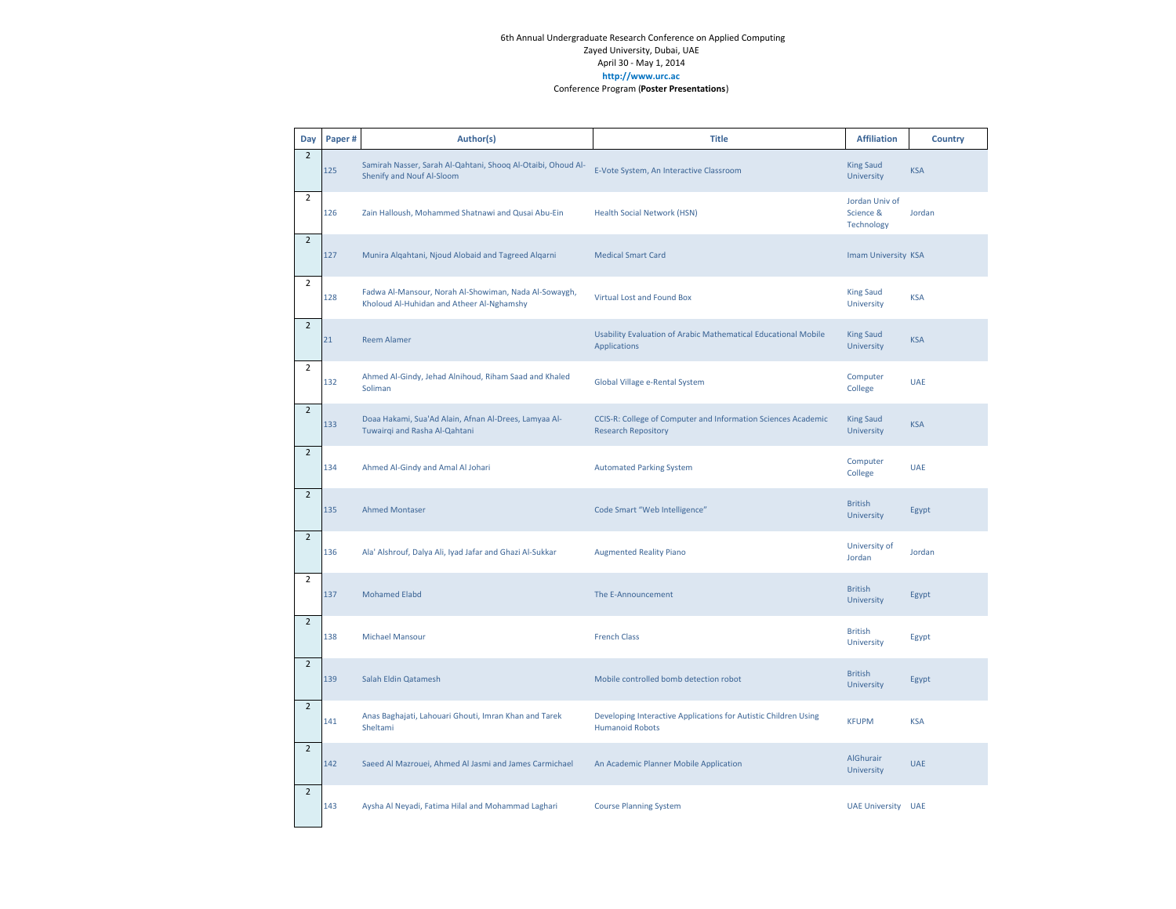| Day            | Paper# | Author(s)                                                                                          | <b>Title</b>                                                                                | <b>Affiliation</b>                        | Country    |
|----------------|--------|----------------------------------------------------------------------------------------------------|---------------------------------------------------------------------------------------------|-------------------------------------------|------------|
| $\overline{2}$ | 125    | Samirah Nasser, Sarah Al-Qahtani, Shoog Al-Otaibi, Ohoud Al-<br>Shenify and Nouf Al-Sloom          | E-Vote System, An Interactive Classroom                                                     | <b>King Saud</b><br>University            | <b>KSA</b> |
| $\overline{2}$ | 126    | Zain Halloush, Mohammed Shatnawi and Qusai Abu-Ein                                                 | <b>Health Social Network (HSN)</b>                                                          | Jordan Univ of<br>Science &<br>Technology | Jordan     |
| $\overline{2}$ | 127    | Munira Algahtani, Njoud Alobaid and Tagreed Algarni                                                | <b>Medical Smart Card</b>                                                                   | Imam University KSA                       |            |
| $\overline{2}$ | 128    | Fadwa Al-Mansour, Norah Al-Showiman, Nada Al-Sowaygh,<br>Kholoud Al-Huhidan and Atheer Al-Nghamshy | Virtual Lost and Found Box                                                                  | <b>King Saud</b><br>University            | <b>KSA</b> |
| $\overline{2}$ | 21     | <b>Reem Alamer</b>                                                                                 | Usability Evaluation of Arabic Mathematical Educational Mobile<br>Applications              | <b>King Saud</b><br>University            | <b>KSA</b> |
| $\overline{2}$ | 132    | Ahmed Al-Gindy, Jehad Alnihoud, Riham Saad and Khaled<br>Soliman                                   | Global Village e-Rental System                                                              | Computer<br>College                       | <b>UAE</b> |
| $\overline{2}$ | 133    | Doaa Hakami, Sua'Ad Alain, Afnan Al-Drees, Lamyaa Al-<br>Tuwairqi and Rasha Al-Qahtani             | CCIS-R: College of Computer and Information Sciences Academic<br><b>Research Repository</b> | <b>King Saud</b><br>University            | <b>KSA</b> |
| $\overline{2}$ | 134    | Ahmed Al-Gindy and Amal Al Johari                                                                  | <b>Automated Parking System</b>                                                             | Computer<br>College                       | <b>UAE</b> |
| $\overline{2}$ | 135    | <b>Ahmed Montaser</b>                                                                              | Code Smart "Web Intelligence"                                                               | <b>British</b><br>University              | Egypt      |
| $\overline{2}$ | 136    | Ala' Alshrouf, Dalya Ali, Iyad Jafar and Ghazi Al-Sukkar                                           | <b>Augmented Reality Piano</b>                                                              | University of<br>Jordan                   | Jordan     |
| $\overline{2}$ | 137    | <b>Mohamed Elabd</b>                                                                               | The E-Announcement                                                                          | <b>British</b><br>University              | Egypt      |
| $\overline{2}$ | 138    | <b>Michael Mansour</b>                                                                             | <b>French Class</b>                                                                         | <b>British</b><br>University              | Egypt      |
| $\overline{2}$ | 139    | Salah Eldin Qatamesh                                                                               | Mobile controlled bomb detection robot                                                      | <b>British</b><br>University              | Egypt      |
| $\overline{2}$ | 141    | Anas Baghajati, Lahouari Ghouti, Imran Khan and Tarek<br>Sheltami                                  | Developing Interactive Applications for Autistic Children Using<br><b>Humanoid Robots</b>   | <b>KFUPM</b>                              | <b>KSA</b> |
| $\overline{2}$ | 142    | Saeed Al Mazrouei, Ahmed Al Jasmi and James Carmichael                                             | An Academic Planner Mobile Application                                                      | AlGhurair<br>University                   | <b>UAE</b> |
| $\overline{2}$ | 143    | Aysha Al Neyadi, Fatima Hilal and Mohammad Laghari                                                 | <b>Course Planning System</b>                                                               | <b>UAE University</b>                     | <b>UAE</b> |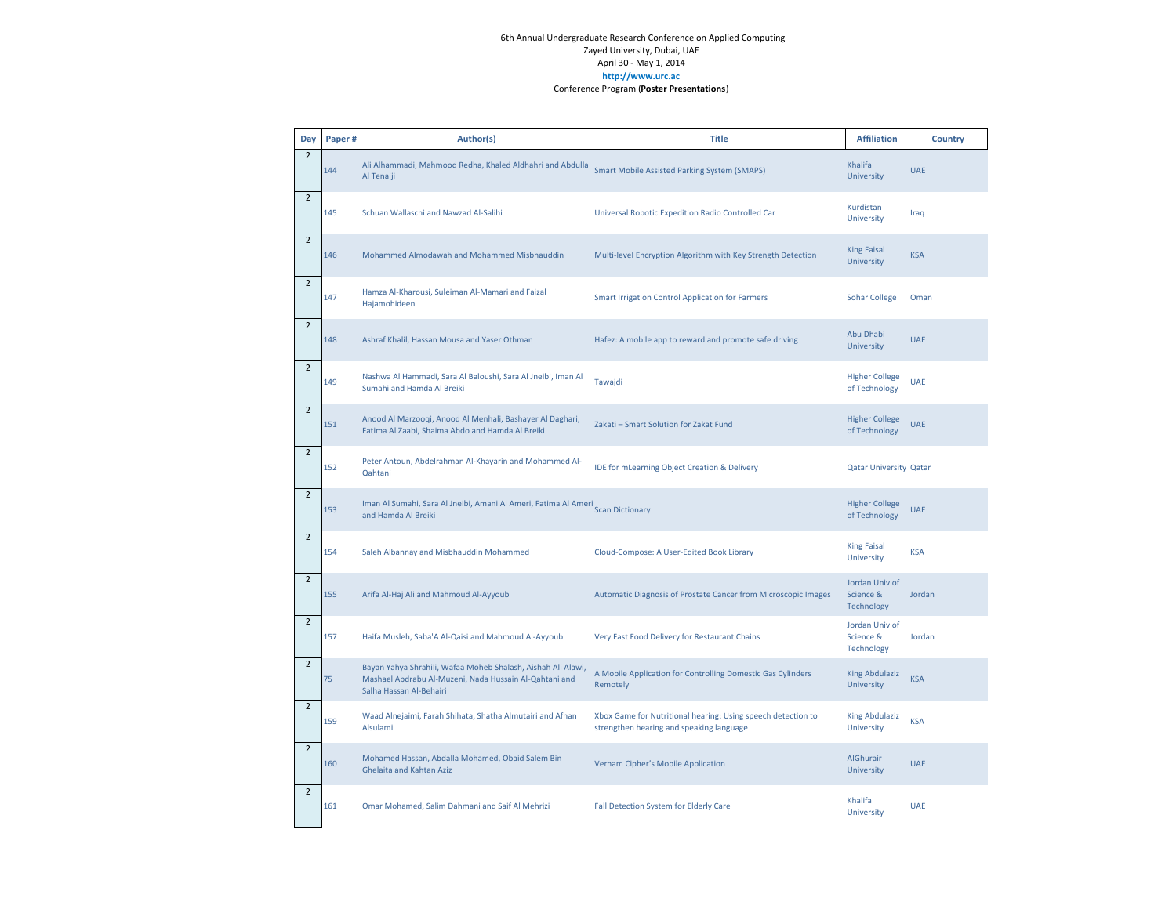| Day            | Paper# | Author(s)                                                                                                                                         | <b>Title</b>                                                                                             | <b>Affiliation</b>                        | Country    |
|----------------|--------|---------------------------------------------------------------------------------------------------------------------------------------------------|----------------------------------------------------------------------------------------------------------|-------------------------------------------|------------|
| $\overline{2}$ | 144    | Ali Alhammadi, Mahmood Redha, Khaled Aldhahri and Abdulla<br>Al Tenaiji                                                                           | <b>Smart Mobile Assisted Parking System (SMAPS)</b>                                                      | Khalifa<br>University                     | <b>UAE</b> |
| $\overline{2}$ | 145    | Schuan Wallaschi and Nawzad Al-Salihi                                                                                                             | Universal Robotic Expedition Radio Controlled Car                                                        | Kurdistan<br>University                   | Iraq       |
| $\overline{2}$ | 146    | Mohammed Almodawah and Mohammed Misbhauddin                                                                                                       | Multi-level Encryption Algorithm with Key Strength Detection                                             | <b>King Faisal</b><br>University          | <b>KSA</b> |
| $\overline{2}$ | 147    | Hamza Al-Kharousi, Suleiman Al-Mamari and Faizal<br>Hajamohideen                                                                                  | Smart Irrigation Control Application for Farmers                                                         | <b>Sohar College</b>                      | Oman       |
| $\overline{2}$ | 148    | Ashraf Khalil, Hassan Mousa and Yaser Othman                                                                                                      | Hafez: A mobile app to reward and promote safe driving                                                   | Abu Dhabi<br>University                   | <b>UAE</b> |
| $\overline{2}$ | 149    | Nashwa Al Hammadi, Sara Al Baloushi, Sara Al Jneibi, Iman Al<br>Sumahi and Hamda Al Breiki                                                        | Tawajdi                                                                                                  | <b>Higher College</b><br>of Technology    | <b>UAE</b> |
| $\overline{2}$ | 151    | Anood Al Marzooqi, Anood Al Menhali, Bashayer Al Daghari,<br>Fatima Al Zaabi, Shaima Abdo and Hamda Al Breiki                                     | Zakati - Smart Solution for Zakat Fund                                                                   | <b>Higher College</b><br>of Technology    | <b>UAE</b> |
| $\overline{2}$ | 152    | Peter Antoun, Abdelrahman Al-Khayarin and Mohammed Al-<br>Qahtani                                                                                 | IDE for mLearning Object Creation & Delivery                                                             | <b>Qatar University Qatar</b>             |            |
| $\overline{2}$ | 153    | Iman Al Sumahi, Sara Al Jneibi, Amani Al Ameri, Fatima Al Ameri<br>Scan Dictionary<br>and Hamda Al Breiki                                         |                                                                                                          | <b>Higher College</b><br>of Technology    | <b>UAE</b> |
| $\overline{2}$ | 154    | Saleh Albannay and Misbhauddin Mohammed                                                                                                           | Cloud-Compose: A User-Edited Book Library                                                                | <b>King Faisal</b><br>University          | <b>KSA</b> |
| $\overline{2}$ | 155    | Arifa Al-Haj Ali and Mahmoud Al-Ayyoub                                                                                                            | Automatic Diagnosis of Prostate Cancer from Microscopic Images                                           | Jordan Univ of<br>Science &<br>Technology | Jordan     |
| $\overline{2}$ | 157    | Haifa Musleh, Saba'A Al-Qaisi and Mahmoud Al-Ayyoub                                                                                               | Very Fast Food Delivery for Restaurant Chains                                                            | Jordan Univ of<br>Science &<br>Technology | Jordan     |
| $\overline{2}$ | 75     | Bayan Yahya Shrahili, Wafaa Moheb Shalash, Aishah Ali Alawi,<br>Mashael Abdrabu Al-Muzeni, Nada Hussain Al-Qahtani and<br>Salha Hassan Al-Behairi | A Mobile Application for Controlling Domestic Gas Cylinders<br>Remotely                                  | <b>King Abdulaziz</b><br>University       | <b>KSA</b> |
| $\overline{2}$ | 159    | Waad Alnejaimi, Farah Shihata, Shatha Almutairi and Afnan<br>Alsulami                                                                             | Xbox Game for Nutritional hearing: Using speech detection to<br>strengthen hearing and speaking language | <b>King Abdulaziz</b><br>University       | <b>KSA</b> |
| $\overline{2}$ | 160    | Mohamed Hassan, Abdalla Mohamed, Obaid Salem Bin<br><b>Ghelaita and Kahtan Aziz</b>                                                               | Vernam Cipher's Mobile Application                                                                       | AlGhurair<br>University                   | <b>UAE</b> |
| $\overline{2}$ | 161    | Omar Mohamed, Salim Dahmani and Saif Al Mehrizi                                                                                                   | Fall Detection System for Elderly Care                                                                   | Khalifa<br>University                     | <b>UAE</b> |